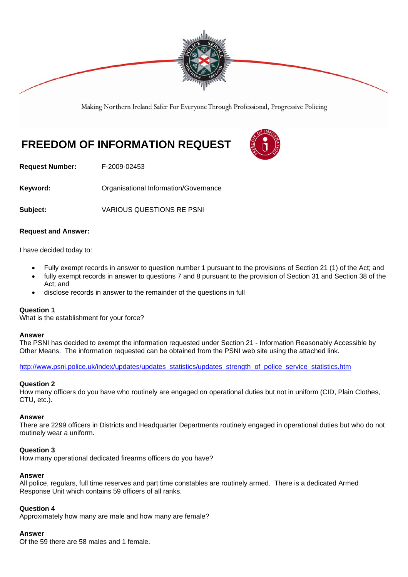

Making Northern Ireland Safer For Everyone Through Professional, Progressive Policing

# **FREEDOM OF INFORMATION REQUEST**



**Request Number:** F-2009-02453

**Keyword: C**rganisational Information/Governance

**Subject:** VARIOUS QUESTIONS RE PSNI

#### **Request and Answer:**

I have decided today to:

- Fully exempt records in answer to question number 1 pursuant to the provisions of Section 21 (1) of the Act; and
- fully exempt records in answer to questions 7 and 8 pursuant to the provision of Section 31 and Section 38 of the Act; and
- disclose records in answer to the remainder of the questions in full

#### **Question 1**

What is the establishment for your force?

#### **Answer**

The PSNI has decided to exempt the information requested under Section 21 - Information Reasonably Accessible by Other Means. The information requested can be obtained from the PSNI web site using the attached link.

http://www.psni.police.uk/index/updates/updates\_statistics/updates\_strength\_of\_police\_service\_statistics.htm

#### **Question 2**

How many officers do you have who routinely are engaged on operational duties but not in uniform (CID, Plain Clothes, CTU, etc.).

#### **Answer**

There are 2299 officers in Districts and Headquarter Departments routinely engaged in operational duties but who do not routinely wear a uniform.

### **Question 3**

How many operational dedicated firearms officers do you have?

#### **Answer**

All police, regulars, full time reserves and part time constables are routinely armed. There is a dedicated Armed Response Unit which contains 59 officers of all ranks.

#### **Question 4**

Approximately how many are male and how many are female?

#### **Answer**

Of the 59 there are 58 males and 1 female.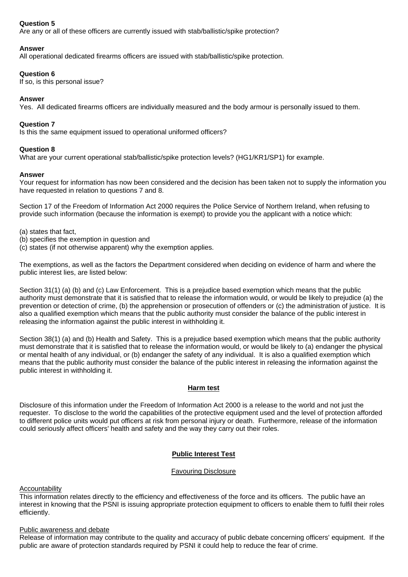## **Question 5**

Are any or all of these officers are currently issued with stab/ballistic/spike protection?

## **Answer**

All operational dedicated firearms officers are issued with stab/ballistic/spike protection.

#### **Question 6**

If so, is this personal issue?

## **Answer**

Yes. All dedicated firearms officers are individually measured and the body armour is personally issued to them.

#### **Question 7**

Is this the same equipment issued to operational uniformed officers?

## **Question 8**

What are your current operational stab/ballistic/spike protection levels? (HG1/KR1/SP1) for example.

#### **Answer**

Your request for information has now been considered and the decision has been taken not to supply the information you have requested in relation to questions 7 and 8.

Section 17 of the Freedom of Information Act 2000 requires the Police Service of Northern Ireland, when refusing to provide such information (because the information is exempt) to provide you the applicant with a notice which:

(a) states that fact,

- (b) specifies the exemption in question and
- (c) states (if not otherwise apparent) why the exemption applies.

The exemptions, as well as the factors the Department considered when deciding on evidence of harm and where the public interest lies, are listed below:

Section 31(1) (a) (b) and (c) Law Enforcement. This is a prejudice based exemption which means that the public authority must demonstrate that it is satisfied that to release the information would, or would be likely to prejudice (a) the prevention or detection of crime, (b) the apprehension or prosecution of offenders or (c) the administration of justice. It is also a qualified exemption which means that the public authority must consider the balance of the public interest in releasing the information against the public interest in withholding it.

Section 38(1) (a) and (b) Health and Safety. This is a prejudice based exemption which means that the public authority must demonstrate that it is satisfied that to release the information would, or would be likely to (a) endanger the physical or mental health of any individual, or (b) endanger the safety of any individual. It is also a qualified exemption which means that the public authority must consider the balance of the public interest in releasing the information against the public interest in withholding it.

#### **Harm test**

Disclosure of this information under the Freedom of Information Act 2000 is a release to the world and not just the requester. To disclose to the world the capabilities of the protective equipment used and the level of protection afforded to different police units would put officers at risk from personal injury or death. Furthermore, release of the information could seriously affect officers' health and safety and the way they carry out their roles.

# **Public Interest Test**

#### Favouring Disclosure

# **Accountability**

This information relates directly to the efficiency and effectiveness of the force and its officers. The public have an interest in knowing that the PSNI is issuing appropriate protection equipment to officers to enable them to fulfil their roles efficiently.

#### Public awareness and debate

Release of information may contribute to the quality and accuracy of public debate concerning officers' equipment. If the public are aware of protection standards required by PSNI it could help to reduce the fear of crime.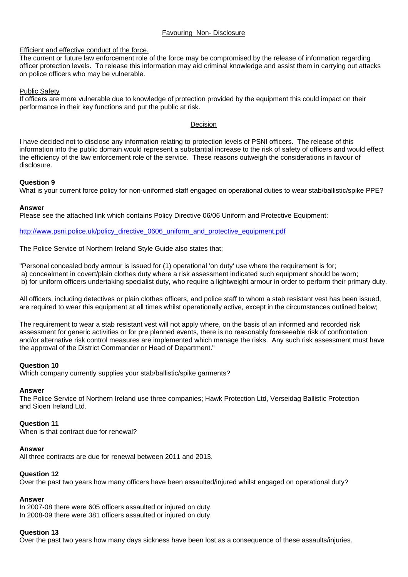#### Favouring Non- Disclosure

### Efficient and effective conduct of the force.

The current or future law enforcement role of the force may be compromised by the release of information regarding officer protection levels. To release this information may aid criminal knowledge and assist them in carrying out attacks on police officers who may be vulnerable.

#### Public Safety

If officers are more vulnerable due to knowledge of protection provided by the equipment this could impact on their performance in their key functions and put the public at risk.

#### Decision

I have decided not to disclose any information relating to protection levels of PSNI officers. The release of this information into the public domain would represent a substantial increase to the risk of safety of officers and would effect the efficiency of the law enforcement role of the service. These reasons outweigh the considerations in favour of disclosure.

#### **Question 9**

What is your current force policy for non-uniformed staff engaged on operational duties to wear stab/ballistic/spike PPE?

#### **Answer**

Please see the attached link which contains Policy Directive 06/06 Uniform and Protective Equipment:

http://www.psni.police.uk/policy\_directive\_0606\_uniform\_and\_protective\_equipment.pdf

The Police Service of Northern Ireland Style Guide also states that;

"Personal concealed body armour is issued for (1) operational 'on duty' use where the requirement is for; a) concealment in covert/plain clothes duty where a risk assessment indicated such equipment should be worn; b) for uniform officers undertaking specialist duty, who require a lightweight armour in order to perform their primary duty.

All officers, including detectives or plain clothes officers, and police staff to whom a stab resistant vest has been issued, are required to wear this equipment at all times whilst operationally active, except in the circumstances outlined below;

The requirement to wear a stab resistant vest will not apply where, on the basis of an informed and recorded risk assessment for generic activities or for pre planned events, there is no reasonably foreseeable risk of confrontation and/or alternative risk control measures are implemented which manage the risks. Any such risk assessment must have the approval of the District Commander or Head of Department."

#### **Question 10**

Which company currently supplies your stab/ballistic/spike garments?

#### **Answer**

The Police Service of Northern Ireland use three companies; Hawk Protection Ltd, Verseidag Ballistic Protection and Sioen Ireland Ltd.

# **Question 11**

When is that contract due for renewal?

#### **Answer**

All three contracts are due for renewal between 2011 and 2013.

#### **Question 12**

Over the past two years how many officers have been assaulted/injured whilst engaged on operational duty?

# **Answer**

In 2007-08 there were 605 officers assaulted or injured on duty. In 2008-09 there were 381 officers assaulted or injured on duty.

# **Question 13**

Over the past two years how many days sickness have been lost as a consequence of these assaults/injuries.